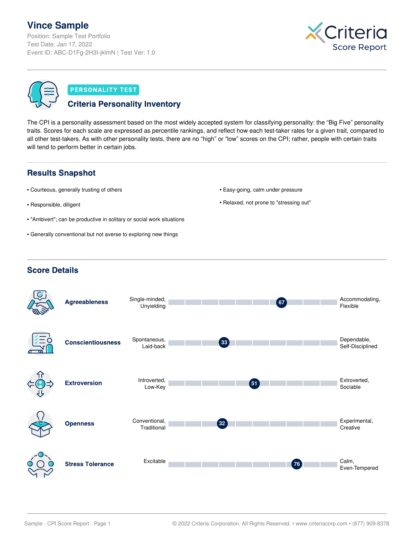# **Vince Sample**

Position: Sample Test Portfolio Test Date: Jan 17, 2022 Event ID: ABC-D1Fg-2H3I-jklmN | Test Ver: 1.0



## **PERSONALITY TEST**

# **Criteria Personality Inventory**

The CPI is a personality assessment based on the most widely accepted system for classifying personality: the "Big Five" personality traits. Scores for each scale are expressed as percentile rankings, and reflect how each test-taker rates for a given trait, compared to all other test-takers. As with other personality tests, there are no "high" or "low" scores on the CPI; rather, people with certain traits will tend to perform better in certain jobs.

# **Results Snapshot**

- Courteous, generally trusting of others
- Responsible, diligent
- "Ambivert"; can be productive in solitary or social work situations
- Generally conventional but not averse to exploring new things
- Easy-going, calm under pressure
- Relaxed, not prone to "stressing out"

# **Score Details**

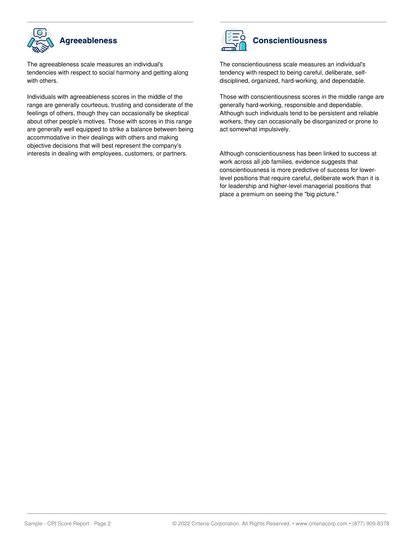

The agreeableness scale measures an individual's tendencies with respect to social harmony and getting along with others.

Individuals with agreeableness scores in the middle of the range are generally courteous, trusting and considerate of the feelings of others, though they can occasionally be skeptical about other people's motives. Those with scores in this range are generally well equipped to strike a balance between being accommodative in their dealings with others and making objective decisions that will best represent the company's interests in dealing with employees, customers, or partners.



# **Conscientiousness**

The conscientiousness scale measures an individual's tendency with respect to being careful, deliberate, selfdisciplined, organized, hard-working, and dependable.

Those with conscientiousness scores in the middle range are generally hard-working, responsible and dependable. Although such individuals tend to be persistent and reliable workers, they can occasionally be disorganized or prone to act somewhat impulsively.

Although conscientiousness has been linked to success at work across all job families, evidence suggests that conscientiousness is more predictive of success for lowerlevel positions that require careful, deliberate work than it is for leadership and higher-level managerial positions that place a premium on seeing the "big picture."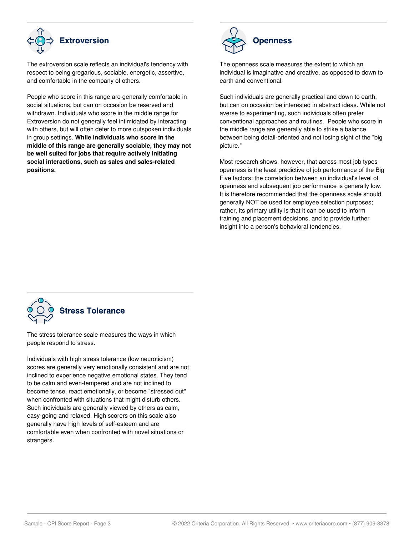

The extroversion scale reflects an individual's tendency with respect to being gregarious, sociable, energetic, assertive, and comfortable in the company of others.

People who score in this range are generally comfortable in social situations, but can on occasion be reserved and withdrawn. Individuals who score in the middle range for Extroversion do not generally feel intimidated by interacting with others, but will often defer to more outspoken individuals in group settings. **While individuals who score in the middle of this range are generally sociable, they may not be well suited for jobs that require actively initiating social interactions, such as sales and sales-related positions.**



The openness scale measures the extent to which an individual is imaginative and creative, as opposed to down to earth and conventional.

Such individuals are generally practical and down to earth, but can on occasion be interested in abstract ideas. While not averse to experimenting, such individuals often prefer conventional approaches and routines. People who score in the middle range are generally able to strike a balance between being detail-oriented and not losing sight of the "big picture."

Most research shows, however, that across most job types openness is the least predictive of job performance of the Big Five factors: the correlation between an individual's level of openness and subsequent job performance is generally low. It is therefore recommended that the openness scale should generally NOT be used for employee selection purposes; rather, its primary utility is that it can be used to inform training and placement decisions, and to provide further insight into a person's behavioral tendencies.



The stress tolerance scale measures the ways in which people respond to stress.

Individuals with high stress tolerance (low neuroticism) scores are generally very emotionally consistent and are not inclined to experience negative emotional states. They tend to be calm and even-tempered and are not inclined to become tense, react emotionally, or become "stressed out" when confronted with situations that might disturb others. Such individuals are generally viewed by others as calm, easy-going and relaxed. High scorers on this scale also generally have high levels of self-esteem and are comfortable even when confronted with novel situations or strangers.